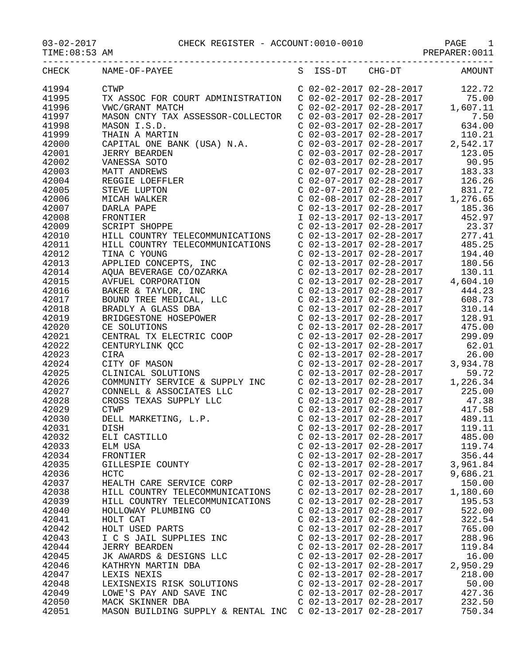## 03-02-2017 CHECK REGISTER - ACCOUNT:0010-0010 PAGE 1

PREPARER:0011

| CHECK | NAME-OF-PAYEE                                                                                                                                                                                                                          |                           |                           | S ISS-DT CHG-DT AMOUNT                                                                                                                                                                                                                                                                                 |
|-------|----------------------------------------------------------------------------------------------------------------------------------------------------------------------------------------------------------------------------------------|---------------------------|---------------------------|--------------------------------------------------------------------------------------------------------------------------------------------------------------------------------------------------------------------------------------------------------------------------------------------------------|
| 41994 | <b>CTWP</b>                                                                                                                                                                                                                            |                           |                           | $\begin{tabular}{lllllllllll} $\text{c} & 02-02-2017 & 02-28-2017 & 122.72 \\ $\text{c} & 02-02-2017 & 02-28-2017 & 75.00 \\ $\text{c} & 02-02-2017 & 02-28-2017 & 1,607.11 \\ $\text{c} & 02-03-2017 & 02-28-2017 & 7.50 \\ $\text{c} & 02-03-2017 & 02-28-2017 & 634.00 \\ $\text{c} & 02-03-2017 &$ |
| 41995 | TX ASSOC FOR COURT ADMINISTRATION                                                                                                                                                                                                      |                           |                           |                                                                                                                                                                                                                                                                                                        |
| 41996 | VWC/GRANT MATCH                                                                                                                                                                                                                        |                           |                           |                                                                                                                                                                                                                                                                                                        |
| 41997 | MASON CNTY TAX ASSESSOR-COLLECTOR                                                                                                                                                                                                      |                           |                           |                                                                                                                                                                                                                                                                                                        |
|       |                                                                                                                                                                                                                                        |                           |                           |                                                                                                                                                                                                                                                                                                        |
| 41998 | MASON I.S.D.                                                                                                                                                                                                                           |                           |                           |                                                                                                                                                                                                                                                                                                        |
| 41999 | MASON I.S.D.<br>THAIN A MARTIN<br>CAPITAL ONE BANK (USA) N.A.                                                                                                                                                                          |                           |                           | C 02-03-2017 02-28-2017<br>C 02-03-2017 02-28-2017<br>C 02-03-2017 02-28-2017<br>C 02-03-2017 02-28-2017<br>C 02-03-2017 02-28-2017<br>C 02-07-2017 02-28-2017<br>C 02-07-2017 02-28-2017<br>183.33                                                                                                    |
| 42000 |                                                                                                                                                                                                                                        |                           |                           |                                                                                                                                                                                                                                                                                                        |
| 42001 |                                                                                                                                                                                                                                        |                           |                           |                                                                                                                                                                                                                                                                                                        |
| 42002 |                                                                                                                                                                                                                                        |                           |                           |                                                                                                                                                                                                                                                                                                        |
| 42003 |                                                                                                                                                                                                                                        |                           |                           |                                                                                                                                                                                                                                                                                                        |
| 42004 |                                                                                                                                                                                                                                        |                           |                           |                                                                                                                                                                                                                                                                                                        |
| 42005 | URE BANK (USA) N.A.<br>JERRY BEARDEN<br>VANESSA SOTO<br>MATT ANDREWS<br>REGGIE LOEFFLER<br>STEVE LUPTON<br>MICAH WALKER<br>DARLA PAPE<br>FRONTIER<br>SCRIPT SHOPPE<br>HILL COUNTRY TELECOMMINICATIONS                                  |                           |                           |                                                                                                                                                                                                                                                                                                        |
| 42006 |                                                                                                                                                                                                                                        |                           |                           |                                                                                                                                                                                                                                                                                                        |
| 42007 |                                                                                                                                                                                                                                        |                           |                           |                                                                                                                                                                                                                                                                                                        |
| 42008 |                                                                                                                                                                                                                                        |                           |                           |                                                                                                                                                                                                                                                                                                        |
| 42009 |                                                                                                                                                                                                                                        |                           |                           |                                                                                                                                                                                                                                                                                                        |
| 42010 |                                                                                                                                                                                                                                        |                           |                           |                                                                                                                                                                                                                                                                                                        |
|       |                                                                                                                                                                                                                                        |                           |                           |                                                                                                                                                                                                                                                                                                        |
| 42011 |                                                                                                                                                                                                                                        |                           |                           |                                                                                                                                                                                                                                                                                                        |
| 42012 |                                                                                                                                                                                                                                        |                           |                           |                                                                                                                                                                                                                                                                                                        |
| 42013 |                                                                                                                                                                                                                                        |                           |                           |                                                                                                                                                                                                                                                                                                        |
| 42014 |                                                                                                                                                                                                                                        |                           |                           |                                                                                                                                                                                                                                                                                                        |
| 42015 |                                                                                                                                                                                                                                        |                           |                           |                                                                                                                                                                                                                                                                                                        |
| 42016 |                                                                                                                                                                                                                                        |                           |                           |                                                                                                                                                                                                                                                                                                        |
| 42017 |                                                                                                                                                                                                                                        |                           |                           |                                                                                                                                                                                                                                                                                                        |
| 42018 |                                                                                                                                                                                                                                        |                           |                           |                                                                                                                                                                                                                                                                                                        |
| 42019 |                                                                                                                                                                                                                                        |                           |                           |                                                                                                                                                                                                                                                                                                        |
| 42020 |                                                                                                                                                                                                                                        |                           |                           |                                                                                                                                                                                                                                                                                                        |
| 42021 |                                                                                                                                                                                                                                        |                           |                           |                                                                                                                                                                                                                                                                                                        |
| 42022 | VANES<br>NATIT ANDEENS SOTO FIRE CO2-03-2017 02-28-2017<br>REGISE LOEPTLE COFFICE CO2-07-2017 02-28-2017 183.33<br>STEVE LUFTON CO2-07-2017 02-28-2017 12.3.33<br>STEVE LUFTON CO2-08-2017 02-28-2017 12.3.33<br>NATIA PARE CO2-08-201 |                           |                           |                                                                                                                                                                                                                                                                                                        |
|       |                                                                                                                                                                                                                                        |                           |                           |                                                                                                                                                                                                                                                                                                        |
| 42023 |                                                                                                                                                                                                                                        |                           |                           |                                                                                                                                                                                                                                                                                                        |
| 42024 |                                                                                                                                                                                                                                        |                           |                           |                                                                                                                                                                                                                                                                                                        |
| 42025 |                                                                                                                                                                                                                                        |                           |                           |                                                                                                                                                                                                                                                                                                        |
| 42026 |                                                                                                                                                                                                                                        |                           |                           |                                                                                                                                                                                                                                                                                                        |
| 42027 |                                                                                                                                                                                                                                        |                           |                           |                                                                                                                                                                                                                                                                                                        |
| 42028 |                                                                                                                                                                                                                                        |                           |                           |                                                                                                                                                                                                                                                                                                        |
| 42029 |                                                                                                                                                                                                                                        |                           |                           |                                                                                                                                                                                                                                                                                                        |
| 42030 |                                                                                                                                                                                                                                        |                           |                           |                                                                                                                                                                                                                                                                                                        |
| 42031 |                                                                                                                                                                                                                                        |                           |                           |                                                                                                                                                                                                                                                                                                        |
| 42032 | ELI CASTILLO                                                                                                                                                                                                                           | C 02-13-2017 02-28-2017   |                           | 485.00                                                                                                                                                                                                                                                                                                 |
| 42033 | ELM USA                                                                                                                                                                                                                                | $C$ 02-13-2017 02-28-2017 |                           | 119.74                                                                                                                                                                                                                                                                                                 |
| 42034 | FRONTIER                                                                                                                                                                                                                               | $C$ 02-13-2017 02-28-2017 |                           | 356.44                                                                                                                                                                                                                                                                                                 |
| 42035 | GILLESPIE COUNTY                                                                                                                                                                                                                       |                           | $C$ 02-13-2017 02-28-2017 | 3,961.84                                                                                                                                                                                                                                                                                               |
| 42036 | <b>HCTC</b>                                                                                                                                                                                                                            | $C$ 02-13-2017 02-28-2017 |                           | 9,686.21                                                                                                                                                                                                                                                                                               |
|       |                                                                                                                                                                                                                                        |                           |                           |                                                                                                                                                                                                                                                                                                        |
| 42037 | HEALTH CARE SERVICE CORP                                                                                                                                                                                                               | C 02-13-2017 02-28-2017   |                           | 150.00                                                                                                                                                                                                                                                                                                 |
| 42038 | HILL COUNTRY TELECOMMUNICATIONS                                                                                                                                                                                                        | C 02-13-2017 02-28-2017   |                           | 1,180.60                                                                                                                                                                                                                                                                                               |
| 42039 | HILL COUNTRY TELECOMMUNICATIONS                                                                                                                                                                                                        | C 02-13-2017 02-28-2017   |                           | 195.53                                                                                                                                                                                                                                                                                                 |
| 42040 | HOLLOWAY PLUMBING CO                                                                                                                                                                                                                   | C 02-13-2017 02-28-2017   |                           | 522.00                                                                                                                                                                                                                                                                                                 |
| 42041 | HOLT CAT                                                                                                                                                                                                                               | C 02-13-2017 02-28-2017   |                           | 322.54                                                                                                                                                                                                                                                                                                 |
| 42042 | HOLT USED PARTS                                                                                                                                                                                                                        | C 02-13-2017 02-28-2017   |                           | 765.00                                                                                                                                                                                                                                                                                                 |
| 42043 | I C S JAIL SUPPLIES INC                                                                                                                                                                                                                | C 02-13-2017 02-28-2017   |                           | 288.96                                                                                                                                                                                                                                                                                                 |
| 42044 | <b>JERRY BEARDEN</b>                                                                                                                                                                                                                   | C 02-13-2017 02-28-2017   |                           | 119.84                                                                                                                                                                                                                                                                                                 |
| 42045 | JK AWARDS & DESIGNS LLC                                                                                                                                                                                                                | C 02-13-2017 02-28-2017   |                           | 16.00                                                                                                                                                                                                                                                                                                  |
| 42046 | KATHRYN MARTIN DBA                                                                                                                                                                                                                     | $C$ 02-13-2017 02-28-2017 |                           | 2,950.29                                                                                                                                                                                                                                                                                               |
| 42047 | LEXIS NEXIS                                                                                                                                                                                                                            | $C$ 02-13-2017 02-28-2017 |                           | 218.00                                                                                                                                                                                                                                                                                                 |
| 42048 | LEXISNEXIS RISK SOLUTIONS                                                                                                                                                                                                              | C 02-13-2017 02-28-2017   |                           | 50.00                                                                                                                                                                                                                                                                                                  |
| 42049 | LOWE'S PAY AND SAVE INC                                                                                                                                                                                                                | C 02-13-2017 02-28-2017   |                           | 427.36                                                                                                                                                                                                                                                                                                 |
|       |                                                                                                                                                                                                                                        |                           |                           |                                                                                                                                                                                                                                                                                                        |
| 42050 | MACK SKINNER DBA                                                                                                                                                                                                                       | $C$ 02-13-2017 02-28-2017 |                           | 232.50                                                                                                                                                                                                                                                                                                 |
| 42051 | MASON BUILDING SUPPLY & RENTAL INC C 02-13-2017 02-28-2017                                                                                                                                                                             |                           |                           | 750.34                                                                                                                                                                                                                                                                                                 |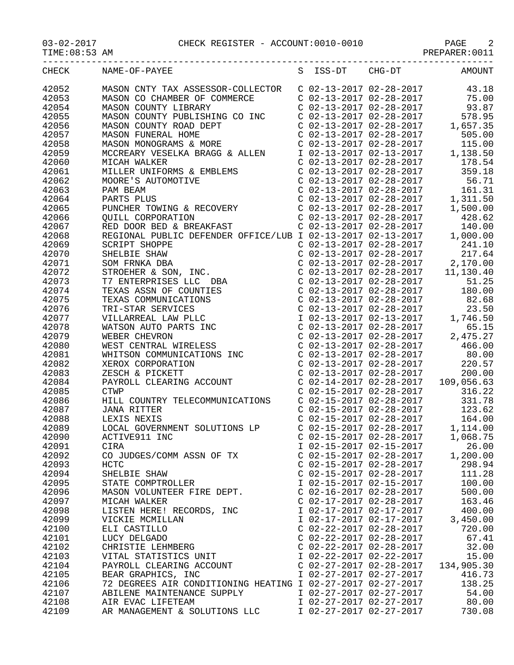| TIME: 08:53 AM |                                                                                                                                                                                                                                                                 |                                                                               |                                                                                                                                                                                                                                                                                                                                                                   |
|----------------|-----------------------------------------------------------------------------------------------------------------------------------------------------------------------------------------------------------------------------------------------------------------|-------------------------------------------------------------------------------|-------------------------------------------------------------------------------------------------------------------------------------------------------------------------------------------------------------------------------------------------------------------------------------------------------------------------------------------------------------------|
| CHECK          | NAME-OF-PAYEE                                                                                                                                                                                                                                                   | S ISS-DT CHG-DT                                                               | <b>AMOUNT</b>                                                                                                                                                                                                                                                                                                                                                     |
| 42052          |                                                                                                                                                                                                                                                                 |                                                                               |                                                                                                                                                                                                                                                                                                                                                                   |
| 42053          | MASON CNTY TAX ASSESSOR-COLLECTOR C 02-13-2017 02-28-2017 43.18<br>MASON CO CHAMBER OF COMMERCE C 02-13-2017 02-28-2017 75.00                                                                                                                                   |                                                                               |                                                                                                                                                                                                                                                                                                                                                                   |
| 42054          | MASON COUNTY LIBRARY                                                                                                                                                                                                                                            |                                                                               | $C$ 02-13-2017 02-28-2017 93.87                                                                                                                                                                                                                                                                                                                                   |
| 42055          | MASON COUNTY PUBLISHING CO INC C 02-13-2017 02-28-2017                                                                                                                                                                                                          |                                                                               | 578.95                                                                                                                                                                                                                                                                                                                                                            |
| 42056          |                                                                                                                                                                                                                                                                 |                                                                               |                                                                                                                                                                                                                                                                                                                                                                   |
| 42057          |                                                                                                                                                                                                                                                                 |                                                                               |                                                                                                                                                                                                                                                                                                                                                                   |
| 42058          |                                                                                                                                                                                                                                                                 |                                                                               |                                                                                                                                                                                                                                                                                                                                                                   |
| 42059          |                                                                                                                                                                                                                                                                 |                                                                               |                                                                                                                                                                                                                                                                                                                                                                   |
| 42060          |                                                                                                                                                                                                                                                                 |                                                                               |                                                                                                                                                                                                                                                                                                                                                                   |
| 42061          | MILLER UNIFORMS & EMBLEMS                                                                                                                                                                                                                                       | $C$ 02-13-2017 02-28-2017                                                     |                                                                                                                                                                                                                                                                                                                                                                   |
| 42062          |                                                                                                                                                                                                                                                                 |                                                                               |                                                                                                                                                                                                                                                                                                                                                                   |
| 42063          | MOORE'S AUTOMOTIVE<br>PAM BEAM<br>PARTS PLUS<br>PUNCHER TOWING & RECOVERY<br>QUILL CORPORATION                                                                                                                                                                  |                                                                               | $\begin{tabular}{lllllllllll} $\text{c} $02$--13$--2017$ & $02$--28$--2017$ & $56.71$ \\ $\text{c} $02$--13$--2017$ & $02$--28$--2017 & $161.31$ \\ $\text{c} $02$--13$--2017$ & $02$--28$--2017 & $1,311.50$ \\ $\text{c} $02$--13$--2017$ & $02$--28$--2017 & $1,500.00$ \end{tabular}$                                                                         |
| 42064          |                                                                                                                                                                                                                                                                 |                                                                               |                                                                                                                                                                                                                                                                                                                                                                   |
| 42065          |                                                                                                                                                                                                                                                                 |                                                                               |                                                                                                                                                                                                                                                                                                                                                                   |
| 42066          |                                                                                                                                                                                                                                                                 | C 02-13-2017 02-28-2017                                                       | 428.62                                                                                                                                                                                                                                                                                                                                                            |
| 42067          | RED DOOR BED & BREAKFAST                                                                                                                                                                                                                                        | $C$ 02-13-2017 02-28-2017                                                     | 140.00                                                                                                                                                                                                                                                                                                                                                            |
| 42068          | REGIONAL PUBLIC DEFENDER OFFICE/LUB I 02-13-2017 02-13-2017                                                                                                                                                                                                     |                                                                               | 1,000.00                                                                                                                                                                                                                                                                                                                                                          |
| 42069          |                                                                                                                                                                                                                                                                 | $C$ 02-13-2017 02-28-2017                                                     | 241.10                                                                                                                                                                                                                                                                                                                                                            |
| 42070          |                                                                                                                                                                                                                                                                 | $C$ 02-13-2017 02-28-2017                                                     | 217.64                                                                                                                                                                                                                                                                                                                                                            |
| 42071          |                                                                                                                                                                                                                                                                 |                                                                               | $C$ 02-13-2017 02-28-2017 2,170.00                                                                                                                                                                                                                                                                                                                                |
| 42072          |                                                                                                                                                                                                                                                                 |                                                                               | C 02-13-2017 02-28-2017 11,130.40                                                                                                                                                                                                                                                                                                                                 |
| 42073          |                                                                                                                                                                                                                                                                 | $C$ 02-13-2017 02-28-2017                                                     | 51.25                                                                                                                                                                                                                                                                                                                                                             |
| 42074          |                                                                                                                                                                                                                                                                 |                                                                               | 180.00                                                                                                                                                                                                                                                                                                                                                            |
| 42075          |                                                                                                                                                                                                                                                                 | C 02-13-2017 02-28-2017<br>C 02-13-2017 02-28-2017                            | 82.68                                                                                                                                                                                                                                                                                                                                                             |
| 42076          |                                                                                                                                                                                                                                                                 | $C$ 02-13-2017 02-28-2017                                                     | 23.50                                                                                                                                                                                                                                                                                                                                                             |
| 42077          |                                                                                                                                                                                                                                                                 | I 02-13-2017 02-13-2017                                                       | 1,746.50                                                                                                                                                                                                                                                                                                                                                          |
| 42078          |                                                                                                                                                                                                                                                                 | C 02-13-2017 02-28-2017                                                       | 65.15                                                                                                                                                                                                                                                                                                                                                             |
| 42079          | NUMBER SHELBIE SHAW<br>SCRIPT SHOPPE<br>SHELBIE SHAW<br>SOM FRNKA DBA<br>STROEHER & SON, INC.<br>T7 ENTERPRISES LLC DBA<br>TEXAS ASSN OF COUNTIES<br>TEXAS COMMUNICATIONS<br>TRI-STAR SERVICES<br>VILLARREAL LAW PLLC<br>WATSON AUTO PARTS INC<br>WEBER CHEVRON |                                                                               | 2,475.27                                                                                                                                                                                                                                                                                                                                                          |
| 42080          |                                                                                                                                                                                                                                                                 | C 02-13-2017 02-28-2017<br>C 02-13-2017 02-28-2017<br>C 02-13-2017 02-28-2017 | 466.00                                                                                                                                                                                                                                                                                                                                                            |
| 42081          | WEST CENTRAL WIRELESS<br>WHITSON COMMUNICATIONS INC<br>XEROX CORPORATION<br>ZESCH & PICKETT<br>PAYROLL CLEARING ACCOUNT                                                                                                                                         |                                                                               | 80.00                                                                                                                                                                                                                                                                                                                                                             |
| 42082          |                                                                                                                                                                                                                                                                 | $C$ 02-13-2017 02-28-2017                                                     | 220.57                                                                                                                                                                                                                                                                                                                                                            |
| 42083          |                                                                                                                                                                                                                                                                 | $C$ 02-13-2017 02-28-2017                                                     | 200.00                                                                                                                                                                                                                                                                                                                                                            |
| 42084          |                                                                                                                                                                                                                                                                 |                                                                               |                                                                                                                                                                                                                                                                                                                                                                   |
| 42085          | <b>CTWP</b>                                                                                                                                                                                                                                                     |                                                                               |                                                                                                                                                                                                                                                                                                                                                                   |
| 42086          | HILL COUNTRY TELECOMMUNICATIONS                                                                                                                                                                                                                                 |                                                                               | $\begin{array}{cccc} \texttt{C} & 02\texttt{-}14\texttt{-}2017 & 02\texttt{-}28\texttt{-}2017 & 109\texttt{,}056.63 \\ \texttt{C} & 02\texttt{-}15\texttt{-}2017 & 02\texttt{-}28\texttt{-}2017 & 316.22 \\ \texttt{C} & 02\texttt{-}15\texttt{-}2017 & 02\texttt{-}28\texttt{-}2017 & 331.78 \\ \texttt{C} & 02\texttt{-}15\texttt{-}2017 & 02\texttt{-}28\text$ |
| 42087          | <b>JANA RITTER</b>                                                                                                                                                                                                                                              |                                                                               |                                                                                                                                                                                                                                                                                                                                                                   |
| 42088          | LEXIS NEXIS                                                                                                                                                                                                                                                     | C 02-15-2017 02-28-2017                                                       | 164.00                                                                                                                                                                                                                                                                                                                                                            |
| 42089          | LOCAL GOVERNMENT SOLUTIONS LP                                                                                                                                                                                                                                   | $C$ 02-15-2017 02-28-2017                                                     | 1,114.00                                                                                                                                                                                                                                                                                                                                                          |
| 42090          | ACTIVE911 INC                                                                                                                                                                                                                                                   | C 02-15-2017 02-28-2017                                                       | 1,068.75                                                                                                                                                                                                                                                                                                                                                          |
| 42091          | CIRA                                                                                                                                                                                                                                                            | I 02-15-2017 02-15-2017                                                       | 26.00                                                                                                                                                                                                                                                                                                                                                             |
| 42092          | CO JUDGES/COMM ASSN OF TX                                                                                                                                                                                                                                       | C 02-15-2017 02-28-2017                                                       | 1,200.00                                                                                                                                                                                                                                                                                                                                                          |
| 42093          | HCTC                                                                                                                                                                                                                                                            | $C$ 02-15-2017 02-28-2017                                                     | 298.94                                                                                                                                                                                                                                                                                                                                                            |
| 42094          | SHELBIE SHAW                                                                                                                                                                                                                                                    | $C$ 02-15-2017 02-28-2017                                                     | 111.28                                                                                                                                                                                                                                                                                                                                                            |
| 42095          | STATE COMPTROLLER                                                                                                                                                                                                                                               | I 02-15-2017 02-15-2017                                                       | 100.00                                                                                                                                                                                                                                                                                                                                                            |
| 42096          | MASON VOLUNTEER FIRE DEPT.                                                                                                                                                                                                                                      | C 02-16-2017 02-28-2017                                                       | 500.00                                                                                                                                                                                                                                                                                                                                                            |
| 42097          | MICAH WALKER                                                                                                                                                                                                                                                    | C 02-17-2017 02-28-2017                                                       | 163.46                                                                                                                                                                                                                                                                                                                                                            |
| 42098          | LISTEN HERE! RECORDS, INC                                                                                                                                                                                                                                       | I 02-17-2017 02-17-2017                                                       | 400.00                                                                                                                                                                                                                                                                                                                                                            |
| 42099          | VICKIE MCMILLAN                                                                                                                                                                                                                                                 | I 02-17-2017 02-17-2017                                                       | 3,450.00                                                                                                                                                                                                                                                                                                                                                          |
| 42100          | ELI CASTILLO                                                                                                                                                                                                                                                    | $C$ 02-22-2017 02-28-2017                                                     | 720.00                                                                                                                                                                                                                                                                                                                                                            |
| 42101          | LUCY DELGADO                                                                                                                                                                                                                                                    | $C$ 02-22-2017 02-28-2017                                                     | 67.41                                                                                                                                                                                                                                                                                                                                                             |
| 42102          | CHRISTIE LEHMBERG                                                                                                                                                                                                                                               | $C$ 02-22-2017 02-28-2017                                                     | 32.00                                                                                                                                                                                                                                                                                                                                                             |
| 42103          | VITAL STATISTICS UNIT                                                                                                                                                                                                                                           | I 02-22-2017 02-22-2017                                                       | 15.00                                                                                                                                                                                                                                                                                                                                                             |
| 42104          | PAYROLL CLEARING ACCOUNT                                                                                                                                                                                                                                        | $C$ 02-27-2017 02-28-2017                                                     | 134,905.30                                                                                                                                                                                                                                                                                                                                                        |
| 42105          | BEAR GRAPHICS, INC                                                                                                                                                                                                                                              | I 02-27-2017 02-27-2017                                                       | 416.73                                                                                                                                                                                                                                                                                                                                                            |
| 42106          | 72 DEGREES AIR CONDITIONING HEATING I 02-27-2017 02-27-2017                                                                                                                                                                                                     |                                                                               | 138.25                                                                                                                                                                                                                                                                                                                                                            |
| 42107          | ABILENE MAINTENANCE SUPPLY                                                                                                                                                                                                                                      | I 02-27-2017 02-27-2017                                                       | 54.00                                                                                                                                                                                                                                                                                                                                                             |
| 42108          | AIR EVAC LIFETEAM                                                                                                                                                                                                                                               | I 02-27-2017 02-27-2017                                                       | 80.00                                                                                                                                                                                                                                                                                                                                                             |

42109 AR MANAGEMENT & SOLUTIONS LLC I 02-27-2017 02-27-2017 730.08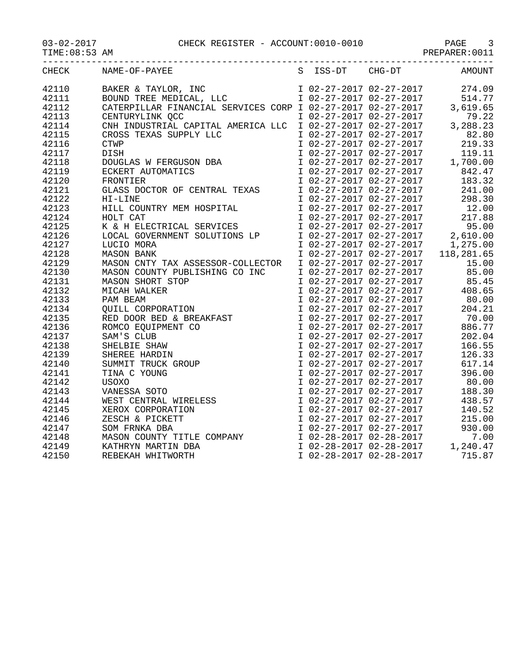## 03-02-2017 CHECK REGISTER - ACCOUNT:0010-0010 PAGE 3

|       |                                                                                                                                                                                                                                                                                                                                                                                                                                                                                                                                                   |                                                                                                                                                                                                                                                      | PREPARER: 0011                                                                                                                                                                                                                             |
|-------|---------------------------------------------------------------------------------------------------------------------------------------------------------------------------------------------------------------------------------------------------------------------------------------------------------------------------------------------------------------------------------------------------------------------------------------------------------------------------------------------------------------------------------------------------|------------------------------------------------------------------------------------------------------------------------------------------------------------------------------------------------------------------------------------------------------|--------------------------------------------------------------------------------------------------------------------------------------------------------------------------------------------------------------------------------------------|
| CHECK | NAME-OF-PAYEE                                                                                                                                                                                                                                                                                                                                                                                                                                                                                                                                     | S ISS-DT CHG-DT                                                                                                                                                                                                                                      | AMOUNT                                                                                                                                                                                                                                     |
| 42110 | BAKER & TAYLOR, INC<br>BOUND TREE MEDICAL, LLC<br>CATERPILLAR FINANCIAL SERVICES CORP I 02-27-2017 02-27-2017 3,619.65                                                                                                                                                                                                                                                                                                                                                                                                                            |                                                                                                                                                                                                                                                      |                                                                                                                                                                                                                                            |
| 42111 |                                                                                                                                                                                                                                                                                                                                                                                                                                                                                                                                                   |                                                                                                                                                                                                                                                      |                                                                                                                                                                                                                                            |
| 42112 |                                                                                                                                                                                                                                                                                                                                                                                                                                                                                                                                                   |                                                                                                                                                                                                                                                      | 3,619.65                                                                                                                                                                                                                                   |
| 42113 |                                                                                                                                                                                                                                                                                                                                                                                                                                                                                                                                                   |                                                                                                                                                                                                                                                      |                                                                                                                                                                                                                                            |
| 42114 |                                                                                                                                                                                                                                                                                                                                                                                                                                                                                                                                                   |                                                                                                                                                                                                                                                      |                                                                                                                                                                                                                                            |
| 42115 |                                                                                                                                                                                                                                                                                                                                                                                                                                                                                                                                                   |                                                                                                                                                                                                                                                      |                                                                                                                                                                                                                                            |
| 42116 |                                                                                                                                                                                                                                                                                                                                                                                                                                                                                                                                                   |                                                                                                                                                                                                                                                      |                                                                                                                                                                                                                                            |
| 42117 |                                                                                                                                                                                                                                                                                                                                                                                                                                                                                                                                                   |                                                                                                                                                                                                                                                      |                                                                                                                                                                                                                                            |
| 42118 |                                                                                                                                                                                                                                                                                                                                                                                                                                                                                                                                                   |                                                                                                                                                                                                                                                      |                                                                                                                                                                                                                                            |
| 42119 |                                                                                                                                                                                                                                                                                                                                                                                                                                                                                                                                                   |                                                                                                                                                                                                                                                      |                                                                                                                                                                                                                                            |
| 42120 | $\begin{tabular}{l c c c c c} \multicolumn{1}{c }{\texttt{CATER}}{\texttt{FINUNCIAL} & \texttt{SERVICES} & \texttt{CORP} & 1 & 02-27-2017 & 02-27-2017 & 3,619.65\\ \multicolumn{1}{c }{\texttt{CENTURYLINK} & \texttt{QCC}} & & & & & 1 & 02-27-2017 & 02-27-2017 & 79.22\\ \multicolumn{1}{c }{\texttt{CROS}}{\texttt{TRANS} & \texttt{SUPUTAL} & \texttt{AMERICA} & \texttt{LLC}$<br>CROSS TEXAS SUPPLY LLC<br>CTWP<br>DISH<br>DOUGLAS W FERGUSON DBA<br>ECKERT AUTOMATICS<br>FRONTIER<br>GLASS DOCTOR OF CENTRAL TEXAS<br>HI-LINE<br>HII-LINE |                                                                                                                                                                                                                                                      |                                                                                                                                                                                                                                            |
| 42121 |                                                                                                                                                                                                                                                                                                                                                                                                                                                                                                                                                   |                                                                                                                                                                                                                                                      |                                                                                                                                                                                                                                            |
| 42122 |                                                                                                                                                                                                                                                                                                                                                                                                                                                                                                                                                   |                                                                                                                                                                                                                                                      |                                                                                                                                                                                                                                            |
| 42123 | HI-LINE<br>HILL COUNTRY MEM HOSPITAL                                                                                                                                                                                                                                                                                                                                                                                                                                                                                                              |                                                                                                                                                                                                                                                      |                                                                                                                                                                                                                                            |
| 42124 | HOLT CAT                                                                                                                                                                                                                                                                                                                                                                                                                                                                                                                                          |                                                                                                                                                                                                                                                      |                                                                                                                                                                                                                                            |
| 42125 | K & H ELECTRICAL SERVICES                                                                                                                                                                                                                                                                                                                                                                                                                                                                                                                         |                                                                                                                                                                                                                                                      |                                                                                                                                                                                                                                            |
| 42126 | LOCAL GOVERNMENT SOLUTIONS LP<br>LUCIO MORA<br>MASON BANK                                                                                                                                                                                                                                                                                                                                                                                                                                                                                         |                                                                                                                                                                                                                                                      | I 02-27-2017 02-27-2017 241.00<br>I 02-27-2017 02-27-2017 298.30<br>I 02-27-2017 02-27-2017 12.00<br>I 02-27-2017 02-27-2017 217.88<br>I 02-27-2017 02-27-2017 2.610.00<br>I 02-27-2017 02-27-2017 1,275.00<br>I 02-27-2017 02-27-2017 118 |
| 42127 |                                                                                                                                                                                                                                                                                                                                                                                                                                                                                                                                                   |                                                                                                                                                                                                                                                      |                                                                                                                                                                                                                                            |
| 42128 | <b>MASON BANK</b>                                                                                                                                                                                                                                                                                                                                                                                                                                                                                                                                 |                                                                                                                                                                                                                                                      |                                                                                                                                                                                                                                            |
| 42129 | MASON CNTY TAX ASSESSOR-COLLECTOR                                                                                                                                                                                                                                                                                                                                                                                                                                                                                                                 |                                                                                                                                                                                                                                                      |                                                                                                                                                                                                                                            |
| 42130 | MASON COUNTY PUBLISHING CO INC                                                                                                                                                                                                                                                                                                                                                                                                                                                                                                                    |                                                                                                                                                                                                                                                      | 85.00                                                                                                                                                                                                                                      |
| 42131 |                                                                                                                                                                                                                                                                                                                                                                                                                                                                                                                                                   |                                                                                                                                                                                                                                                      |                                                                                                                                                                                                                                            |
| 42132 |                                                                                                                                                                                                                                                                                                                                                                                                                                                                                                                                                   |                                                                                                                                                                                                                                                      | $10227201702272017$<br>$1 02-27-2017 02-27-2017$<br>$1 02-27-2017 02-27-2017$<br>$1 02-27-2017 02-27-2017$<br>$1 08.65$<br>$1 02-27-2017 02-27-2017$<br>$80.00$                                                                            |
| 42133 |                                                                                                                                                                                                                                                                                                                                                                                                                                                                                                                                                   |                                                                                                                                                                                                                                                      |                                                                                                                                                                                                                                            |
| 42134 |                                                                                                                                                                                                                                                                                                                                                                                                                                                                                                                                                   | $\begin{array}{lllllll} 1&02-27-2011&02-27-2011\\ 1&02-27-2017&02-27-2017\\ 1&02-27-2017&02-27-2017\\ 1&02-27-2017&02-27-2017\\ 1&02-27-2017&02-27-2017\\ 1&02-27-2017&02-27-2017\\ 1&02-27-2017&02-27-2017 \end{array}$                             | 204.21                                                                                                                                                                                                                                     |
| 42135 |                                                                                                                                                                                                                                                                                                                                                                                                                                                                                                                                                   |                                                                                                                                                                                                                                                      | 70.00                                                                                                                                                                                                                                      |
| 42136 |                                                                                                                                                                                                                                                                                                                                                                                                                                                                                                                                                   |                                                                                                                                                                                                                                                      | 886.77                                                                                                                                                                                                                                     |
| 42137 |                                                                                                                                                                                                                                                                                                                                                                                                                                                                                                                                                   |                                                                                                                                                                                                                                                      | 202.04                                                                                                                                                                                                                                     |
| 42138 |                                                                                                                                                                                                                                                                                                                                                                                                                                                                                                                                                   |                                                                                                                                                                                                                                                      | 166.55                                                                                                                                                                                                                                     |
| 42139 |                                                                                                                                                                                                                                                                                                                                                                                                                                                                                                                                                   |                                                                                                                                                                                                                                                      | 126.33                                                                                                                                                                                                                                     |
| 42140 |                                                                                                                                                                                                                                                                                                                                                                                                                                                                                                                                                   | I 02-27-2017 02-27-2017                                                                                                                                                                                                                              | 617.14                                                                                                                                                                                                                                     |
| 42141 |                                                                                                                                                                                                                                                                                                                                                                                                                                                                                                                                                   |                                                                                                                                                                                                                                                      | I 02-27-2017 02-27-2017 396.00<br>I 02-27-2017 02-27-2017 80.00                                                                                                                                                                            |
| 42142 |                                                                                                                                                                                                                                                                                                                                                                                                                                                                                                                                                   |                                                                                                                                                                                                                                                      |                                                                                                                                                                                                                                            |
| 42143 |                                                                                                                                                                                                                                                                                                                                                                                                                                                                                                                                                   |                                                                                                                                                                                                                                                      | 188.30                                                                                                                                                                                                                                     |
| 42144 |                                                                                                                                                                                                                                                                                                                                                                                                                                                                                                                                                   |                                                                                                                                                                                                                                                      | 438.57                                                                                                                                                                                                                                     |
| 42145 |                                                                                                                                                                                                                                                                                                                                                                                                                                                                                                                                                   |                                                                                                                                                                                                                                                      | 140.52                                                                                                                                                                                                                                     |
| 42146 |                                                                                                                                                                                                                                                                                                                                                                                                                                                                                                                                                   |                                                                                                                                                                                                                                                      | 215.00                                                                                                                                                                                                                                     |
| 42147 | MASON COUNTY PUBLISHING CO INC<br>MASON SHORT STOP<br>MICAH WALKER<br>PAM BEAM<br>QUILL CORPORATION<br>RED DOOR BED & BREAKFAST<br>ROMCO EQUIPMENT CO<br>SAM'S CLUB<br>SHELBIE SHAW<br>SHEREE HARDIN<br>SUMMIT TRUCK GROUP<br>TINA C YOUNG<br>USOXO<br>V                                                                                                                                                                                                                                                                                          | $\begin{tabular}{lllllllllll} 1&02-27-2017&02-27-2017&8\\ 1&02-27-2017&02-27-2017&18\\ 1&02-27-2017&02-27-2017&43\\ 1&02-27-2017&02-27-2017&14\\ 1&02-27-2017&02-27-2017&21\\ 1&02-27-2017&02-27-2017&93\\ 1&02-28-2017&02-28-2017&\\ \end{tabular}$ | 930.00                                                                                                                                                                                                                                     |
| 42148 |                                                                                                                                                                                                                                                                                                                                                                                                                                                                                                                                                   |                                                                                                                                                                                                                                                      | 7.00                                                                                                                                                                                                                                       |
| 42149 | MASON COUNTY TITLE COMPANY<br>KATHRYN MARTIN DBA<br>REBEKAH WHITWORTH                                                                                                                                                                                                                                                                                                                                                                                                                                                                             |                                                                                                                                                                                                                                                      | 1,240.47<br>1,240.47<br>1,240.47<br>19.87 - 102-28-2017 - 2017                                                                                                                                                                             |
| 42150 |                                                                                                                                                                                                                                                                                                                                                                                                                                                                                                                                                   |                                                                                                                                                                                                                                                      |                                                                                                                                                                                                                                            |